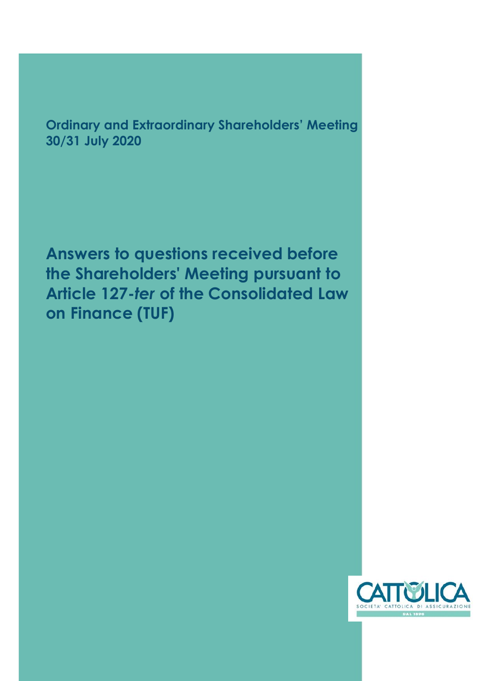**Ordinary and Extraordinary Shareholders' Meeting 30/31 July 2020**

**Answers to questions received before the Shareholders' Meeting pursuant to Article 127-***ter* **of the Consolidated Law on Finance (TUF)**

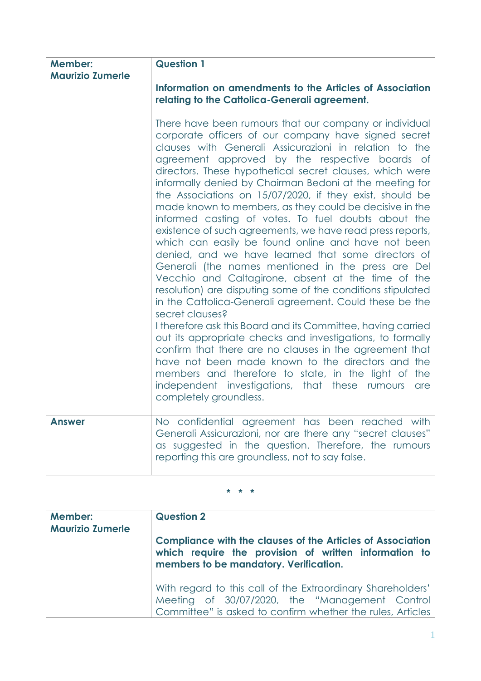| Member:<br><b>Maurizio Zumerle</b> | <b>Question 1</b>                                                                                                                                                                                                                                                                                                                                                                                                                                                                                                                                                                                                                                                                                                                                                                                                                                                                                                                                                                                                                                                                                                                                                                                                                                                                                                                                         |
|------------------------------------|-----------------------------------------------------------------------------------------------------------------------------------------------------------------------------------------------------------------------------------------------------------------------------------------------------------------------------------------------------------------------------------------------------------------------------------------------------------------------------------------------------------------------------------------------------------------------------------------------------------------------------------------------------------------------------------------------------------------------------------------------------------------------------------------------------------------------------------------------------------------------------------------------------------------------------------------------------------------------------------------------------------------------------------------------------------------------------------------------------------------------------------------------------------------------------------------------------------------------------------------------------------------------------------------------------------------------------------------------------------|
|                                    | Information on amendments to the Articles of Association<br>relating to the Cattolica-Generali agreement.                                                                                                                                                                                                                                                                                                                                                                                                                                                                                                                                                                                                                                                                                                                                                                                                                                                                                                                                                                                                                                                                                                                                                                                                                                                 |
|                                    | There have been rumours that our company or individual<br>corporate officers of our company have signed secret<br>clauses with Generali Assicurazioni in relation to the<br>agreement approved by the respective boards of<br>directors. These hypothetical secret clauses, which were<br>informally denied by Chairman Bedoni at the meeting for<br>the Associations on 15/07/2020, if they exist, should be<br>made known to members, as they could be decisive in the<br>informed casting of votes. To fuel doubts about the<br>existence of such agreements, we have read press reports,<br>which can easily be found online and have not been<br>denied, and we have learned that some directors of<br>Generali (the names mentioned in the press are Del<br>Vecchio and Caltagirone, absent at the time of the<br>resolution) are disputing some of the conditions stipulated<br>in the Cattolica-Generali agreement. Could these be the<br>secret clauses?<br>I therefore ask this Board and its Committee, having carried<br>out its appropriate checks and investigations, to formally<br>confirm that there are no clauses in the agreement that<br>have not been made known to the directors and the<br>members and therefore to state, in the light of the<br>independent investigations, that these rumours<br>are<br>completely groundless. |
| <b>Answer</b>                      | No confidential agreement has been reached with                                                                                                                                                                                                                                                                                                                                                                                                                                                                                                                                                                                                                                                                                                                                                                                                                                                                                                                                                                                                                                                                                                                                                                                                                                                                                                           |
|                                    | Generali Assicurazioni, nor are there any "secret clauses"<br>as suggested in the question. Therefore, the rumours<br>reporting this are groundless, not to say false.                                                                                                                                                                                                                                                                                                                                                                                                                                                                                                                                                                                                                                                                                                                                                                                                                                                                                                                                                                                                                                                                                                                                                                                    |

| Member:<br><b>Maurizio Zumerle</b> | <b>Question 2</b>                                                                                                                                                           |
|------------------------------------|-----------------------------------------------------------------------------------------------------------------------------------------------------------------------------|
|                                    | <b>Compliance with the clauses of the Articles of Association</b><br>which require the provision of written information to<br>members to be mandatory. Verification.        |
|                                    | With regard to this call of the Extraordinary Shareholders'<br>Meeting of 30/07/2020, the "Management Control<br>Committee" is asked to confirm whether the rules, Articles |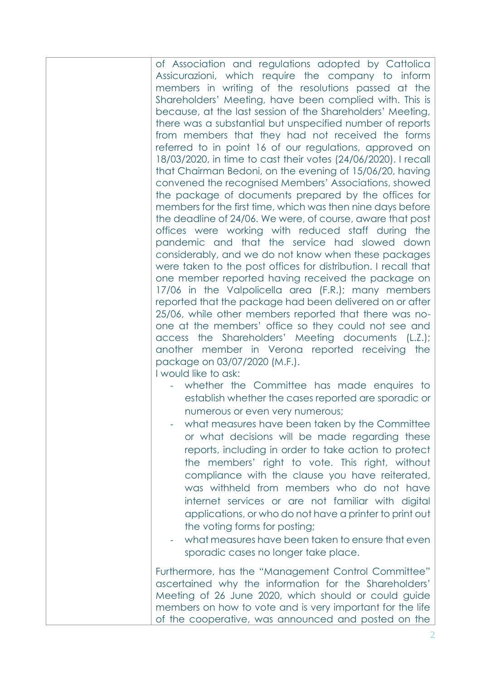of Association and regulations adopted by Cattolica Assicurazioni, which require the company to inform members in writing of the resolutions passed at the Shareholders' Meeting, have been complied with. This is because, at the last session of the Shareholders' Meeting, there was a substantial but unspecified number of reports from members that they had not received the forms referred to in point 16 of our regulations, approved on 18/03/2020, in time to cast their votes (24/06/2020). I recall that Chairman Bedoni, on the evening of 15/06/20, having convened the recognised Members' Associations, showed the package of documents prepared by the offices for members for the first time, which was then nine days before the deadline of 24/06. We were, of course, aware that post offices were working with reduced staff during the pandemic and that the service had slowed down considerably, and we do not know when these packages were taken to the post offices for distribution. I recall that one member reported having received the package on 17/06 in the Valpolicella area (F.R.); many members reported that the package had been delivered on or after 25/06, while other members reported that there was noone at the members' office so they could not see and access the Shareholders' Meeting documents (L.Z.); another member in Verona reported receiving the package on 03/07/2020 (M.F.).

I would like to ask:

- whether the Committee has made enquires to establish whether the cases reported are sporadic or numerous or even very numerous;
- what measures have been taken by the Committee or what decisions will be made regarding these reports, including in order to take action to protect the members' right to vote. This right, without compliance with the clause you have reiterated, was withheld from members who do not have internet services or are not familiar with digital applications, or who do not have a printer to print out the voting forms for posting;
- what measures have been taken to ensure that even sporadic cases no longer take place.

Furthermore, has the "Management Control Committee" ascertained why the information for the Shareholders' Meeting of 26 June 2020, which should or could guide members on how to vote and is very important for the life of the cooperative, was announced and posted on the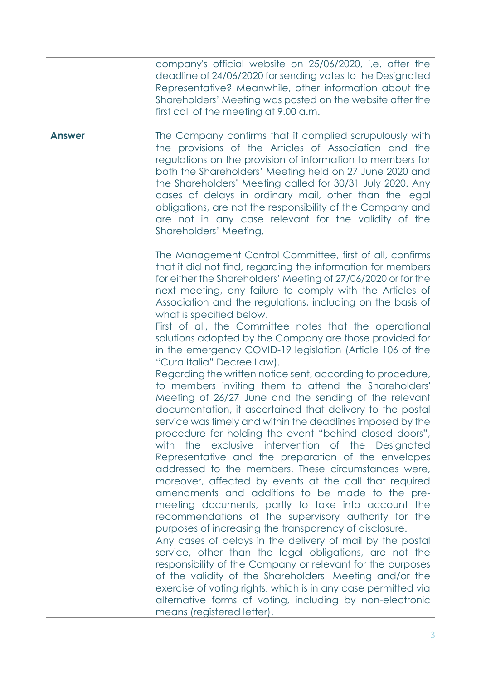|               | company's official website on 25/06/2020, i.e. after the<br>deadline of 24/06/2020 for sending votes to the Designated<br>Representative? Meanwhile, other information about the<br>Shareholders' Meeting was posted on the website after the<br>first call of the meeting at 9.00 a.m.                                                                                                                                                                                                                                                                                                                                                                                                                                                                                                                                                                                                                                                                                                                                                                                                                                                                                                                                                                                                                                                                                                                                                                                                                                                                                                                                                                                                                        |
|---------------|----------------------------------------------------------------------------------------------------------------------------------------------------------------------------------------------------------------------------------------------------------------------------------------------------------------------------------------------------------------------------------------------------------------------------------------------------------------------------------------------------------------------------------------------------------------------------------------------------------------------------------------------------------------------------------------------------------------------------------------------------------------------------------------------------------------------------------------------------------------------------------------------------------------------------------------------------------------------------------------------------------------------------------------------------------------------------------------------------------------------------------------------------------------------------------------------------------------------------------------------------------------------------------------------------------------------------------------------------------------------------------------------------------------------------------------------------------------------------------------------------------------------------------------------------------------------------------------------------------------------------------------------------------------------------------------------------------------|
| <b>Answer</b> | The Company confirms that it complied scrupulously with<br>the provisions of the Articles of Association and the<br>regulations on the provision of information to members for<br>both the Shareholders' Meeting held on 27 June 2020 and<br>the Shareholders' Meeting called for 30/31 July 2020. Any<br>cases of delays in ordinary mail, other than the legal<br>obligations, are not the responsibility of the Company and<br>are not in any case relevant for the validity of the<br>Shareholders' Meeting.                                                                                                                                                                                                                                                                                                                                                                                                                                                                                                                                                                                                                                                                                                                                                                                                                                                                                                                                                                                                                                                                                                                                                                                               |
|               | The Management Control Committee, first of all, confirms<br>that it did not find, regarding the information for members<br>for either the Shareholders' Meeting of 27/06/2020 or for the<br>next meeting, any failure to comply with the Articles of<br>Association and the regulations, including on the basis of<br>what is specified below.<br>First of all, the Committee notes that the operational<br>solutions adopted by the Company are those provided for<br>in the emergency COVID-19 legislation (Article 106 of the<br>"Cura Italia" Decree Law).<br>Regarding the written notice sent, according to procedure,<br>to members inviting them to attend the Shareholders'<br>Meeting of 26/27 June and the sending of the relevant<br>documentation, it ascertained that delivery to the postal<br>service was timely and within the deadlines imposed by the<br>procedure for holding the event "behind closed doors",<br>the exclusive intervention of the Designated<br>with<br>Representative and the preparation of the envelopes<br>addressed to the members. These circumstances were,<br>moreover, affected by events at the call that required<br>amendments and additions to be made to the pre-<br>meeting documents, partly to take into account the<br>recommendations of the supervisory authority for the<br>purposes of increasing the transparency of disclosure.<br>Any cases of delays in the delivery of mail by the postal<br>service, other than the legal obligations, are not the<br>responsibility of the Company or relevant for the purposes<br>of the validity of the Shareholders' Meeting and/or the<br>exercise of voting rights, which is in any case permitted via |
|               | alternative forms of voting, including by non-electronic<br>means (registered letter).                                                                                                                                                                                                                                                                                                                                                                                                                                                                                                                                                                                                                                                                                                                                                                                                                                                                                                                                                                                                                                                                                                                                                                                                                                                                                                                                                                                                                                                                                                                                                                                                                         |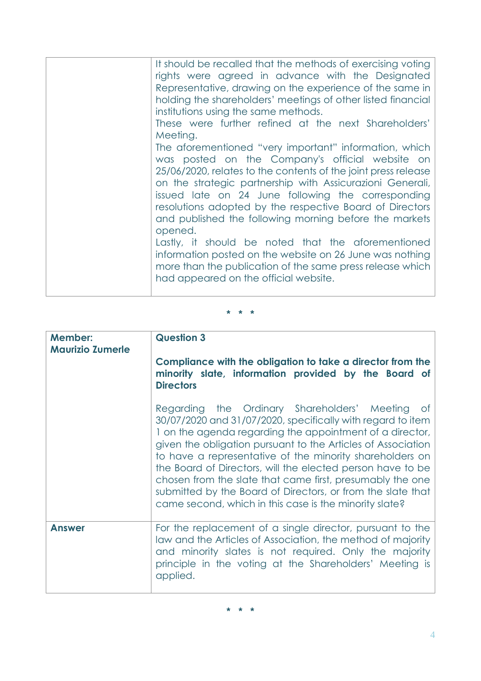| It should be recalled that the methods of exercising voting<br>rights were agreed in advance with the Designated<br>Representative, drawing on the experience of the same in<br>holding the shareholders' meetings of other listed financial<br>institutions using the same methods.<br>These were further refined at the next Shareholders'<br>Meeting.<br>The aforementioned "very important" information, which<br>was posted on the Company's official website on<br>25/06/2020, relates to the contents of the joint press release<br>on the strategic partnership with Assicurazioni Generali,<br>issued late on 24 June following the corresponding<br>resolutions adopted by the respective Board of Directors<br>and published the following morning before the markets<br>opened.<br>Lastly, it should be noted that the aforementioned<br>information posted on the website on 26 June was nothing<br>more than the publication of the same press release which<br>had appeared on the official website. |
|---------------------------------------------------------------------------------------------------------------------------------------------------------------------------------------------------------------------------------------------------------------------------------------------------------------------------------------------------------------------------------------------------------------------------------------------------------------------------------------------------------------------------------------------------------------------------------------------------------------------------------------------------------------------------------------------------------------------------------------------------------------------------------------------------------------------------------------------------------------------------------------------------------------------------------------------------------------------------------------------------------------------|
|---------------------------------------------------------------------------------------------------------------------------------------------------------------------------------------------------------------------------------------------------------------------------------------------------------------------------------------------------------------------------------------------------------------------------------------------------------------------------------------------------------------------------------------------------------------------------------------------------------------------------------------------------------------------------------------------------------------------------------------------------------------------------------------------------------------------------------------------------------------------------------------------------------------------------------------------------------------------------------------------------------------------|

| <b>Member:</b><br><b>Maurizio Zumerle</b> | <b>Question 3</b><br>Compliance with the obligation to take a director from the<br>minority slate, information provided by the Board of<br><b>Directors</b>                                                                                                                                                                                                                                                                                                                                                                                                   |
|-------------------------------------------|---------------------------------------------------------------------------------------------------------------------------------------------------------------------------------------------------------------------------------------------------------------------------------------------------------------------------------------------------------------------------------------------------------------------------------------------------------------------------------------------------------------------------------------------------------------|
|                                           | Regarding the Ordinary Shareholders' Meeting<br>of<br>30/07/2020 and 31/07/2020, specifically with regard to item<br>I on the agenda regarding the appointment of a director,<br>given the obligation pursuant to the Articles of Association<br>to have a representative of the minority shareholders on<br>the Board of Directors, will the elected person have to be<br>chosen from the slate that came first, presumably the one<br>submitted by the Board of Directors, or from the slate that<br>came second, which in this case is the minority slate? |
| <b>Answer</b>                             | For the replacement of a single director, pursuant to the<br>law and the Articles of Association, the method of majority<br>and minority slates is not required. Only the majority<br>principle in the voting at the Shareholders' Meeting is<br>applied.                                                                                                                                                                                                                                                                                                     |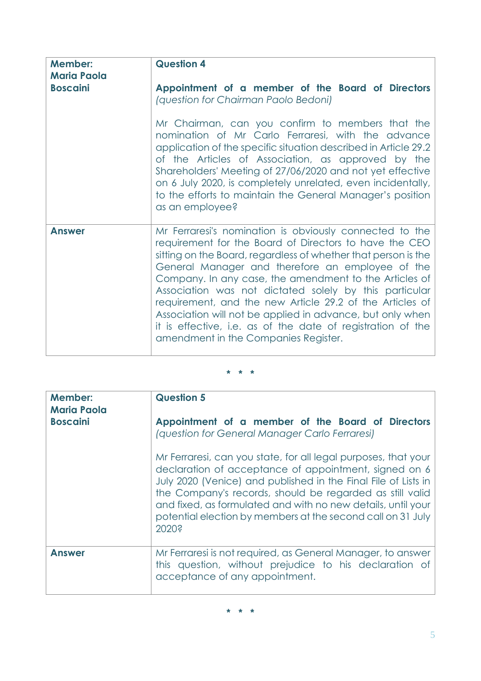| Member:<br><b>Maria Paola</b> | <b>Question 4</b>                                                                                                                                                                                                                                                                                                                                                                                                                                                                                                                                                                           |
|-------------------------------|---------------------------------------------------------------------------------------------------------------------------------------------------------------------------------------------------------------------------------------------------------------------------------------------------------------------------------------------------------------------------------------------------------------------------------------------------------------------------------------------------------------------------------------------------------------------------------------------|
| <b>Boscaini</b>               | Appointment of a member of the Board of Directors<br>(question for Chairman Paolo Bedoni)                                                                                                                                                                                                                                                                                                                                                                                                                                                                                                   |
|                               | Mr Chairman, can you confirm to members that the<br>nomination of Mr Carlo Ferraresi, with the advance<br>application of the specific situation described in Article 29.2<br>of the Articles of Association, as approved by the<br>Shareholders' Meeting of 27/06/2020 and not yet effective<br>on 6 July 2020, is completely unrelated, even incidentally,<br>to the efforts to maintain the General Manager's position<br>as an employee?                                                                                                                                                 |
| <b>Answer</b>                 | Mr Ferraresi's nomination is obviously connected to the<br>requirement for the Board of Directors to have the CEO<br>sitting on the Board, regardless of whether that person is the<br>General Manager and therefore an employee of the<br>Company. In any case, the amendment to the Articles of<br>Association was not dictated solely by this particular<br>requirement, and the new Article 29.2 of the Articles of<br>Association will not be applied in advance, but only when<br>it is effective, i.e. as of the date of registration of the<br>amendment in the Companies Register. |

| <b>Member:</b><br><b>Maria Paola</b> | <b>Question 5</b>                                                                                                                                                                                                                                                                                                                                                                                         |  |
|--------------------------------------|-----------------------------------------------------------------------------------------------------------------------------------------------------------------------------------------------------------------------------------------------------------------------------------------------------------------------------------------------------------------------------------------------------------|--|
| <b>Boscaini</b>                      | Appointment of a member of the Board of Directors<br>(question for General Manager Carlo Ferraresi)                                                                                                                                                                                                                                                                                                       |  |
|                                      | Mr Ferraresi, can you state, for all legal purposes, that your<br>declaration of acceptance of appointment, signed on 6<br>July 2020 (Venice) and published in the Final File of Lists in<br>the Company's records, should be regarded as still valid<br>and fixed, as formulated and with no new details, until your<br>potential election by members at the second call on 31 July<br>2020 <sup>s</sup> |  |
| <b>Answer</b>                        | Mr Ferraresi is not required, as General Manager, to answer<br>this question, without prejudice to his declaration of<br>acceptance of any appointment.                                                                                                                                                                                                                                                   |  |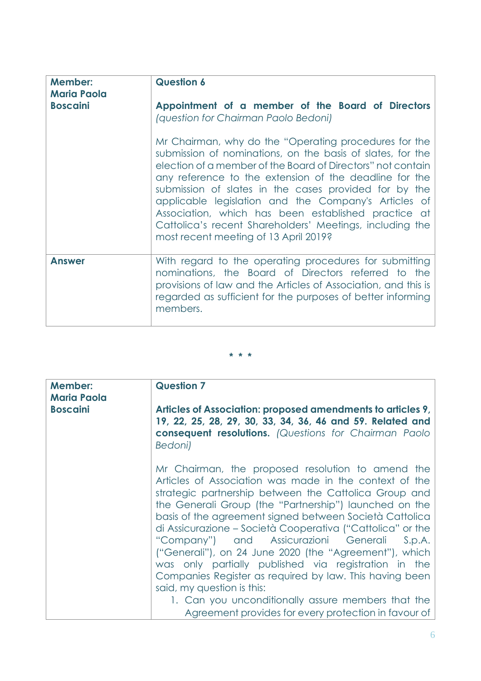| Member:<br><b>Maria Paola</b> | <b>Question 6</b>                                                                                                                                                                                                                                                                                                                                                                                                                                                                                                         |
|-------------------------------|---------------------------------------------------------------------------------------------------------------------------------------------------------------------------------------------------------------------------------------------------------------------------------------------------------------------------------------------------------------------------------------------------------------------------------------------------------------------------------------------------------------------------|
| <b>Boscaini</b>               | Appointment of a member of the Board of Directors<br>(question for Chairman Paolo Bedoni)                                                                                                                                                                                                                                                                                                                                                                                                                                 |
|                               | Mr Chairman, why do the "Operating procedures for the<br>submission of nominations, on the basis of slates, for the<br>election of a member of the Board of Directors" not contain<br>any reference to the extension of the deadline for the<br>submission of slates in the cases provided for by the<br>applicable legislation and the Company's Articles of<br>Association, which has been established practice at<br>Cattolica's recent Shareholders' Meetings, including the<br>most recent meeting of 13 April 2019? |
| <b>Answer</b>                 | With regard to the operating procedures for submitting<br>nominations, the Board of Directors referred to the<br>provisions of law and the Articles of Association, and this is<br>regarded as sufficient for the purposes of better informing<br>members.                                                                                                                                                                                                                                                                |

| <b>Member:</b><br><b>Maria Paola</b><br><b>Boscaini</b> | <b>Question 7</b><br>Articles of Association: proposed amendments to articles 9,<br>19, 22, 25, 28, 29, 30, 33, 34, 36, 46 and 59. Related and<br><b>consequent resolutions.</b> (Questions for Chairman Paolo<br>Bedoni)                                                                                                                                                                                                                                                                                                                                                                                                                                                                                                           |
|---------------------------------------------------------|-------------------------------------------------------------------------------------------------------------------------------------------------------------------------------------------------------------------------------------------------------------------------------------------------------------------------------------------------------------------------------------------------------------------------------------------------------------------------------------------------------------------------------------------------------------------------------------------------------------------------------------------------------------------------------------------------------------------------------------|
|                                                         | Mr Chairman, the proposed resolution to amend the<br>Articles of Association was made in the context of the<br>strategic partnership between the Cattolica Group and<br>the Generali Group (the "Partnership") launched on the<br>basis of the agreement signed between Società Cattolica<br>di Assicurazione – Società Cooperativa ("Cattolica" or the<br>"Company") and Assicurazioni Generali<br>S.p.A.<br>("Generali"), on 24 June 2020 (the "Agreement"), which<br>was only partially published via registration in the<br>Companies Register as required by law. This having been<br>said, my question is this:<br>1. Can you unconditionally assure members that the<br>Agreement provides for every protection in favour of |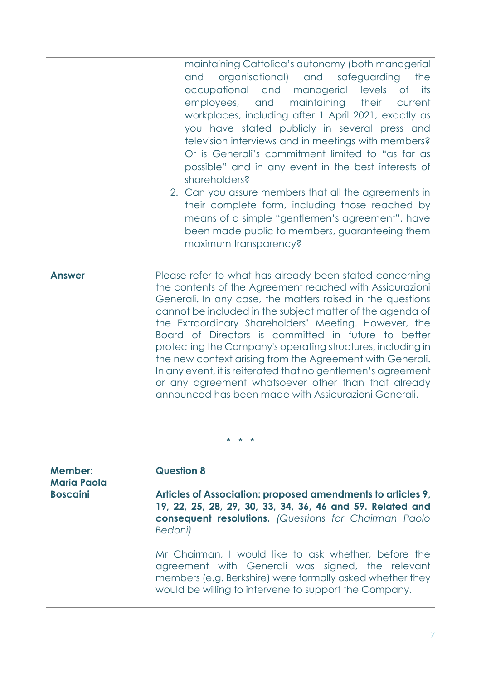|               | maintaining Cattolica's autonomy (both managerial<br>organisational) and<br>safeguarding<br>the<br>and<br>occupational and managerial<br>levels<br>its<br>0f<br>and<br>maintaining<br>their<br>employees,<br>current<br>workplaces, including after 1 April 2021, exactly as<br>you have stated publicly in several press and<br>television interviews and in meetings with members?<br>Or is Generali's commitment limited to "as far as<br>possible" and in any event in the best interests of<br>shareholders?<br>2. Can you assure members that all the agreements in<br>their complete form, including those reached by<br>means of a simple "gentlemen's agreement", have<br>been made public to members, guaranteeing them<br>maximum transparency? |
|---------------|------------------------------------------------------------------------------------------------------------------------------------------------------------------------------------------------------------------------------------------------------------------------------------------------------------------------------------------------------------------------------------------------------------------------------------------------------------------------------------------------------------------------------------------------------------------------------------------------------------------------------------------------------------------------------------------------------------------------------------------------------------|
| <b>Answer</b> | Please refer to what has already been stated concerning<br>the contents of the Agreement reached with Assicurazioni<br>Generali. In any case, the matters raised in the questions<br>cannot be included in the subject matter of the agenda of<br>the Extraordinary Shareholders' Meeting. However, the<br>Board of Directors is committed in future to better<br>protecting the Company's operating structures, including in<br>the new context arising from the Agreement with Generali.<br>In any event, it is reiterated that no gentlemen's agreement<br>or any agreement whatsoever other than that already<br>announced has been made with Assicurazioni Generali.                                                                                  |

| Member:<br><b>Maria Paola</b> | <b>Question 8</b>                                                                                                                                                                                                              |
|-------------------------------|--------------------------------------------------------------------------------------------------------------------------------------------------------------------------------------------------------------------------------|
| <b>Boscaini</b>               | Articles of Association: proposed amendments to articles 9,<br>19, 22, 25, 28, 29, 30, 33, 34, 36, 46 and 59. Related and<br><b>consequent resolutions.</b> (Questions for Chairman Paolo<br>Bedoni)                           |
|                               | Mr Chairman, I would like to ask whether, before the<br>agreement with Generali was signed, the relevant<br>members (e.g. Berkshire) were formally asked whether they<br>would be willing to intervene to support the Company. |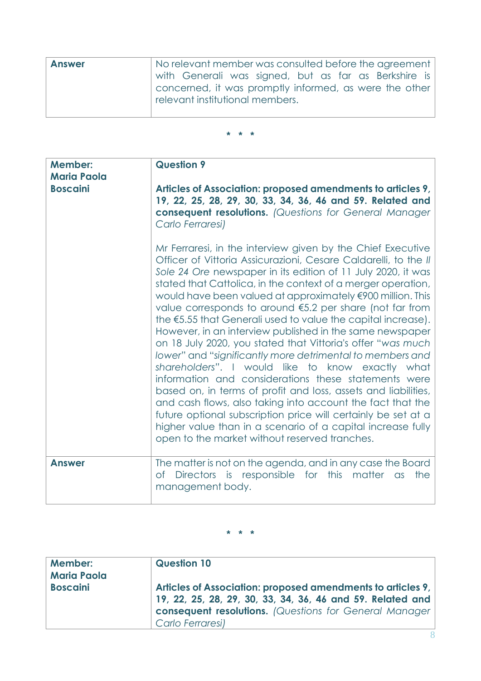| <b>Answer</b> | No relevant member was consulted before the agreement  |
|---------------|--------------------------------------------------------|
|               | with Generali was signed, but as far as Berkshire is   |
|               | concerned, it was promptly informed, as were the other |
|               | relevant institutional members.                        |
|               |                                                        |

| <b>Member:</b><br><b>Maria Paola</b><br><b>Boscaini</b> | <b>Question 9</b><br>Articles of Association: proposed amendments to articles 9,                                                                                                                                                                                                                                                                                                                                                                                                                                                                                                                                                                                                                                                                                                                                                                                                                                                                                                                                                                                                        |
|---------------------------------------------------------|-----------------------------------------------------------------------------------------------------------------------------------------------------------------------------------------------------------------------------------------------------------------------------------------------------------------------------------------------------------------------------------------------------------------------------------------------------------------------------------------------------------------------------------------------------------------------------------------------------------------------------------------------------------------------------------------------------------------------------------------------------------------------------------------------------------------------------------------------------------------------------------------------------------------------------------------------------------------------------------------------------------------------------------------------------------------------------------------|
|                                                         | 19, 22, 25, 28, 29, 30, 33, 34, 36, 46 and 59. Related and<br><b>consequent resolutions.</b> (Questions for General Manager<br>Carlo Ferraresi)                                                                                                                                                                                                                                                                                                                                                                                                                                                                                                                                                                                                                                                                                                                                                                                                                                                                                                                                         |
|                                                         | Mr Ferraresi, in the interview given by the Chief Executive<br>Officer of Vittoria Assicurazioni, Cesare Caldarelli, to the II<br>Sole 24 Ore newspaper in its edition of 11 July 2020, it was<br>stated that Cattolica, in the context of a merger operation,<br>would have been valued at approximately €900 million. This<br>value corresponds to around €5.2 per share (not far from<br>the $\epsilon$ 5.55 that Generali used to value the capital increase).<br>However, in an interview published in the same newspaper<br>on 18 July 2020, you stated that Vittoria's offer "was much<br>lower" and "significantly more detrimental to members and<br>shareholders". I would like to know exactly what<br>information and considerations these statements were<br>based on, in terms of profit and loss, assets and liabilities,<br>and cash flows, also taking into account the fact that the<br>future optional subscription price will certainly be set at a<br>higher value than in a scenario of a capital increase fully<br>open to the market without reserved tranches. |
| <b>Answer</b>                                           | The matter is not on the agenda, and in any case the Board<br>Directors is responsible for this matter<br>the<br>$\alpha$ s<br>0f<br>management body.                                                                                                                                                                                                                                                                                                                                                                                                                                                                                                                                                                                                                                                                                                                                                                                                                                                                                                                                   |

| Member:<br><b>Maria Paola</b> | <b>Question 10</b>                                                                                                                                                                                                           |
|-------------------------------|------------------------------------------------------------------------------------------------------------------------------------------------------------------------------------------------------------------------------|
| <b>Boscaini</b>               | Articles of Association: proposed amendments to articles 9,<br>19, 22, 25, 28, 29, 30, 33, 34, 36, 46 and 59. Related and<br><b>consequent resolutions.</b> (Questions for General Manager)<br><sup>I</sup> Carlo Ferraresi) |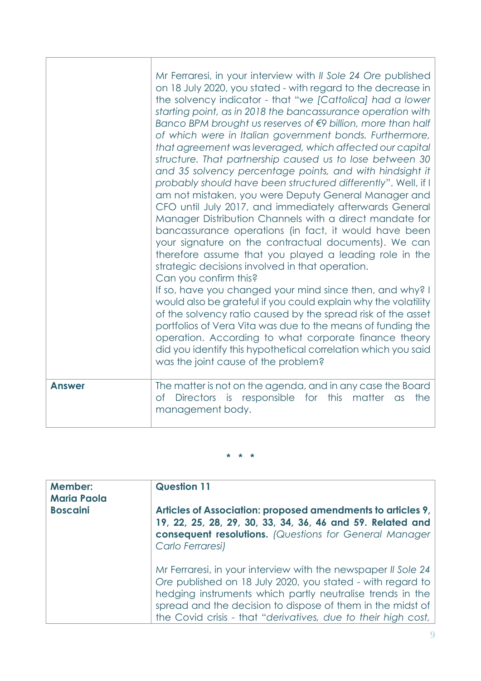|               | Mr Ferraresi, in your interview with II Sole 24 Ore published<br>on 18 July 2020, you stated - with regard to the decrease in<br>the solvency indicator - that "we [Cattolica] had a lower<br>starting point, as in 2018 the bancassurance operation with<br>Banco BPM brought us reserves of €9 billion, more than half<br>of which were in Italian government bonds. Furthermore,<br>that agreement was leveraged, which affected our capital<br>structure. That partnership caused us to lose between 30<br>and 35 solvency percentage points, and with hindsight it<br>probably should have been structured differently". Well, if I<br>am not mistaken, you were Deputy General Manager and<br>CFO until July 2017, and immediately afterwards General<br>Manager Distribution Channels with a direct mandate for<br>bancassurance operations (in fact, it would have been<br>your signature on the contractual documents). We can<br>therefore assume that you played a leading role in the<br>strategic decisions involved in that operation.<br>Can you confirm this?<br>If so, have you changed your mind since then, and why? I<br>would also be grateful if you could explain why the volatility<br>of the solvency ratio caused by the spread risk of the asset<br>portfolios of Vera Vita was due to the means of funding the<br>operation. According to what corporate finance theory<br>did you identify this hypothetical correlation which you said<br>was the joint cause of the problem? |
|---------------|-------------------------------------------------------------------------------------------------------------------------------------------------------------------------------------------------------------------------------------------------------------------------------------------------------------------------------------------------------------------------------------------------------------------------------------------------------------------------------------------------------------------------------------------------------------------------------------------------------------------------------------------------------------------------------------------------------------------------------------------------------------------------------------------------------------------------------------------------------------------------------------------------------------------------------------------------------------------------------------------------------------------------------------------------------------------------------------------------------------------------------------------------------------------------------------------------------------------------------------------------------------------------------------------------------------------------------------------------------------------------------------------------------------------------------------------------------------------------------------------------------------|
| <b>Answer</b> | The matter is not on the agenda, and in any case the Board<br>of Directors is responsible for this matter<br>the<br>$\alpha$ s<br>management body.                                                                                                                                                                                                                                                                                                                                                                                                                                                                                                                                                                                                                                                                                                                                                                                                                                                                                                                                                                                                                                                                                                                                                                                                                                                                                                                                                          |

| <b>Member:</b><br><b>Maria Paola</b> | <b>Question 11</b>                                                                                                                                                                                                                                                                                                      |
|--------------------------------------|-------------------------------------------------------------------------------------------------------------------------------------------------------------------------------------------------------------------------------------------------------------------------------------------------------------------------|
| <b>Boscaini</b>                      | Articles of Association: proposed amendments to articles 9,<br>19, 22, 25, 28, 29, 30, 33, 34, 36, 46 and 59. Related and<br><b>consequent resolutions.</b> (Questions for General Manager<br>Carlo Ferraresi)                                                                                                          |
|                                      | Mr Ferraresi, in your interview with the newspaper II Sole 24<br>Ore published on 18 July 2020, you stated - with regard to<br>hedging instruments which partly neutralise trends in the<br>spread and the decision to dispose of them in the midst of<br>the Covid crisis - that "derivatives, due to their high cost, |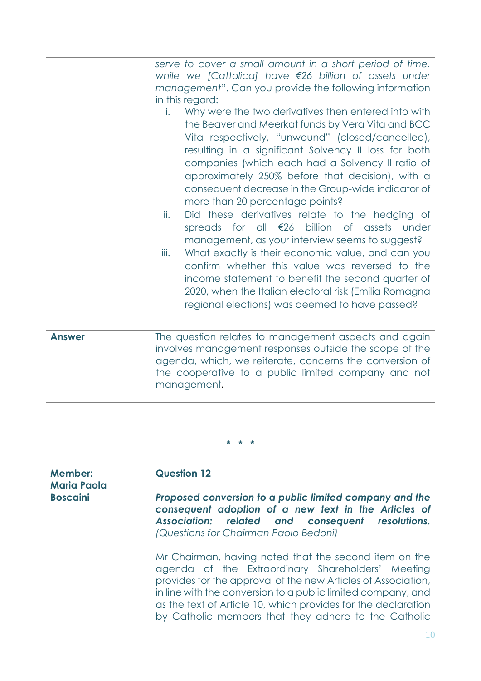|               | serve to cover a small amount in a short period of time,<br>while we [Cattolica] have $\epsilon$ 26 billion of assets under<br>management". Can you provide the following information<br>in this regard:<br>Why were the two derivatives then entered into with<br>i.<br>the Beaver and Meerkat funds by Vera Vita and BCC<br>Vita respectively, "unwound" (closed/cancelled),<br>resulting in a significant Solvency II loss for both<br>companies (which each had a Solvency II ratio of<br>approximately 250% before that decision), with a<br>consequent decrease in the Group-wide indicator of<br>more than 20 percentage points?<br>Did these derivatives relate to the hedging of<br>ii.<br>spreads for all €26 billion of assets under<br>management, as your interview seems to suggest?<br>iii.<br>What exactly is their economic value, and can you<br>confirm whether this value was reversed to the<br>income statement to benefit the second quarter of<br>2020, when the Italian electoral risk (Emilia Romagna<br>regional elections) was deemed to have passed? |
|---------------|-----------------------------------------------------------------------------------------------------------------------------------------------------------------------------------------------------------------------------------------------------------------------------------------------------------------------------------------------------------------------------------------------------------------------------------------------------------------------------------------------------------------------------------------------------------------------------------------------------------------------------------------------------------------------------------------------------------------------------------------------------------------------------------------------------------------------------------------------------------------------------------------------------------------------------------------------------------------------------------------------------------------------------------------------------------------------------------|
| <b>Answer</b> | The question relates to management aspects and again<br>involves management responses outside the scope of the<br>agenda, which, we reiterate, concerns the conversion of<br>the cooperative to a public limited company and not<br>management.                                                                                                                                                                                                                                                                                                                                                                                                                                                                                                                                                                                                                                                                                                                                                                                                                                   |

| <b>Member:</b><br><b>Maria Paola</b> | <b>Question 12</b>                                                                                                                                                                                                                                                                                                                                                   |
|--------------------------------------|----------------------------------------------------------------------------------------------------------------------------------------------------------------------------------------------------------------------------------------------------------------------------------------------------------------------------------------------------------------------|
| <b>Boscaini</b>                      | Proposed conversion to a public limited company and the<br>consequent adoption of a new text in the Articles of<br>Association: related and consequent resolutions.<br>(Questions for Chairman Paolo Bedoni)                                                                                                                                                         |
|                                      | Mr Chairman, having noted that the second item on the<br>agenda of the Extraordinary Shareholders' Meeting<br>provides for the approval of the new Articles of Association,<br>in line with the conversion to a public limited company, and<br>as the text of Article 10, which provides for the declaration<br>by Catholic members that they adhere to the Catholic |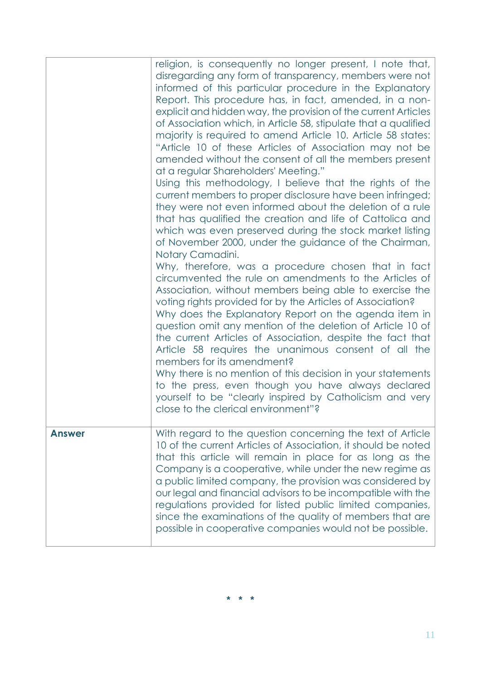|               | religion, is consequently no longer present, I note that,<br>disregarding any form of transparency, members were not<br>informed of this particular procedure in the Explanatory<br>Report. This procedure has, in fact, amended, in a non-<br>explicit and hidden way, the provision of the current Articles<br>of Association which, in Article 58, stipulate that a qualified<br>majority is required to amend Article 10. Article 58 states:<br>"Article 10 of these Articles of Association may not be<br>amended without the consent of all the members present<br>at a regular Shareholders' Meeting."<br>Using this methodology, I believe that the rights of the<br>current members to proper disclosure have been infringed;<br>they were not even informed about the deletion of a rule<br>that has qualified the creation and life of Cattolica and<br>which was even preserved during the stock market listing<br>of November 2000, under the guidance of the Chairman,<br>Notary Camadini.<br>Why, therefore, was a procedure chosen that in fact<br>circumvented the rule on amendments to the Articles of<br>Association, without members being able to exercise the<br>voting rights provided for by the Articles of Association?<br>Why does the Explanatory Report on the agenda item in<br>question omit any mention of the deletion of Article 10 of<br>the current Articles of Association, despite the fact that<br>Article 58 requires the unanimous consent of all the<br>members for its amendment?<br>Why there is no mention of this decision in your statements<br>to the press, even though you have always declared<br>yourself to be "clearly inspired by Catholicism and very<br>close to the clerical environment"? |
|---------------|-------------------------------------------------------------------------------------------------------------------------------------------------------------------------------------------------------------------------------------------------------------------------------------------------------------------------------------------------------------------------------------------------------------------------------------------------------------------------------------------------------------------------------------------------------------------------------------------------------------------------------------------------------------------------------------------------------------------------------------------------------------------------------------------------------------------------------------------------------------------------------------------------------------------------------------------------------------------------------------------------------------------------------------------------------------------------------------------------------------------------------------------------------------------------------------------------------------------------------------------------------------------------------------------------------------------------------------------------------------------------------------------------------------------------------------------------------------------------------------------------------------------------------------------------------------------------------------------------------------------------------------------------------------------------------------------------------------------------------------------------------|
| <b>Answer</b> | With regard to the question concerning the text of Article<br>10 of the current Articles of Association, it should be noted<br>that this article will remain in place for as long as the<br>Company is a cooperative, while under the new regime as<br>a public limited company, the provision was considered by<br>our legal and financial advisors to be incompatible with the<br>regulations provided for listed public limited companies,<br>since the examinations of the quality of members that are<br>possible in cooperative companies would not be possible.                                                                                                                                                                                                                                                                                                                                                                                                                                                                                                                                                                                                                                                                                                                                                                                                                                                                                                                                                                                                                                                                                                                                                                                |